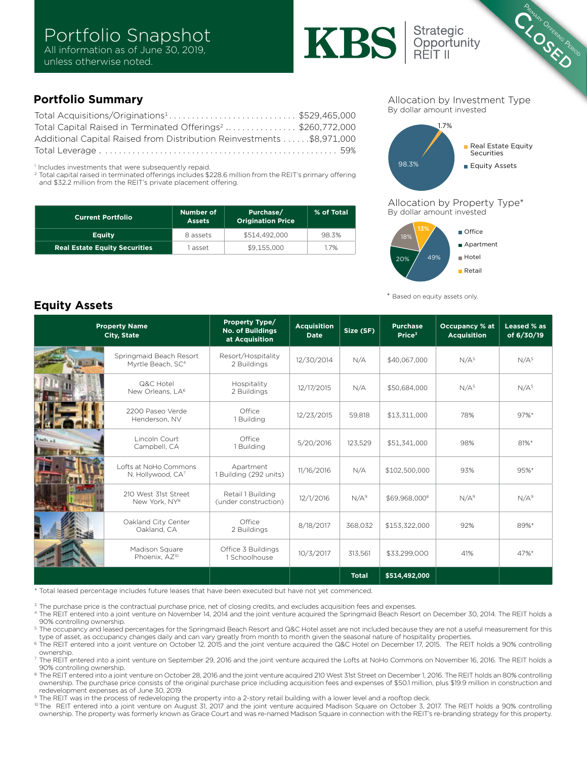# KBS Spoortunity

**Primary Offering Paris** 

#### **Portfolio Summary**

| Total Acquisitions/Originations <sup>1</sup> \$529,465,000              |  |
|-------------------------------------------------------------------------|--|
| Total Capital Raised in Terminated Offerings <sup>2</sup> \$260,772,000 |  |
| Additional Capital Raised from Distribution Reinvestments \$8.971.000   |  |
|                                                                         |  |

<sup>1</sup> Includes investments that were subsequently repaid.

2 Total capital raised in terminated offerings includes \$228.6 million from the REIT's primary offering and \$32.2 million from the REIT's private placement offering.

| <b>Current Portfolio</b>             | Number of<br><b>Assets</b> | Purchase/<br><b>Origination Price</b> | % of Total |
|--------------------------------------|----------------------------|---------------------------------------|------------|
| <b>Equity</b>                        | 8 assets                   | \$514,492,000                         | 98.3%      |
| <b>Real Estate Equity Securities</b> | 1 asset                    | \$9.155.000                           | 1.7%       |

#### Allocation by Investment Type By dollar amount invested



Allocation by Property Type\* By dollar amount invested



\* Based on equity assets only.

| <b>Equity Assets</b> |  |
|----------------------|--|
|                      |  |

| <b>Property Name</b><br><b>City, State</b> |                                                          | <b>Property Type/</b><br><b>No. of Buildings</b><br>at Acquisition | <b>Acquisition</b><br><b>Date</b> | Size (SF)        | <b>Purchase</b><br>Price <sup>3</sup> | <b>Occupancy % at</b><br><b>Acquisition</b> | Leased % as<br>of 6/30/19 |
|--------------------------------------------|----------------------------------------------------------|--------------------------------------------------------------------|-----------------------------------|------------------|---------------------------------------|---------------------------------------------|---------------------------|
|                                            | Springmaid Beach Resort<br>Myrtle Beach, SC <sup>4</sup> | Resort/Hospitality<br>2 Buildings                                  | 12/30/2014                        | N/A              | \$40,067,000                          | N/A <sup>5</sup>                            | N/A <sup>5</sup>          |
|                                            | Q&C Hotel<br>New Orleans, LA <sup>6</sup>                | Hospitality<br>2 Buildings                                         | 12/17/2015                        | N/A              | \$50,684,000                          | N/A <sup>5</sup>                            | N/A <sup>5</sup>          |
|                                            | 2200 Paseo Verde<br>Henderson, NV                        | Office<br>1 Building                                               | 12/23/2015                        | 59,818           | \$13,311,000                          | 78%                                         | 97%*                      |
|                                            | Lincoln Court<br>Campbell, CA                            | Office<br>1 Building                                               | 5/20/2016                         | 123,529          | \$51,341,000                          | 98%                                         | $81%$ *                   |
|                                            | Lofts at NoHo Commons<br>N. Hollywood, CA <sup>7</sup>   | Apartment<br>Building (292 units)                                  | 11/16/2016                        | N/A              | \$102,500,000                         | 93%                                         | 95%*                      |
|                                            | 210 West 31st Street<br>New York, NY <sup>8</sup>        | Retail 1 Building<br>(under construction)                          | 12/1/2016                         | N/A <sup>9</sup> | \$69,968,0008                         | N/A <sup>9</sup>                            | N/A <sup>9</sup>          |
|                                            | Oakland City Center<br>Oakland, CA                       | Office<br>2 Buildings                                              | 8/18/2017                         | 368,032          | \$153,322,000                         | 92%                                         | 89%*                      |
|                                            | Madison Square<br>Phoenix, AZ <sup>10</sup>              | Office 3 Buildings<br>1 Schoolhouse                                | 10/3/2017                         | 313,561          | \$33,299,000                          | 41%                                         | 47%*                      |
|                                            |                                                          |                                                                    |                                   | <b>Total</b>     | \$514,492,000                         |                                             |                           |

\* Total leased percentage includes future leases that have been executed but have not yet commenced.

<sup>3</sup> The purchase price is the contractual purchase price, net of closing credits, and excludes acquisition fees and expenses.

<sup>4</sup> The REIT entered into a joint venture on November 14, 2014 and the joint venture acquired the Springmaid Beach Resort on December 30, 2014. The REIT holds a 90% controlling ownership.

<sup>5</sup> The occupancy and leased percentages for the Springmaid Beach Resort and Q&C Hotel asset are not included because they are not a useful measurement for this type of asset, as occupancy changes daily and can vary greatly from month to month given the seasonal nature of hospitality properties.<br><sup>6</sup> The REIT entered into a joint venture on October 12, 2015 and the joint venture ac

ownership.

<sup>7</sup> The REIT entered into a joint venture on September 29, 2016 and the joint venture acquired the Lofts at NoHo Commons on November 16, 2016. The REIT holds a 90% controlling ownership.

<sup>8</sup> The REIT entered into a joint venture on October 28, 2016 and the joint venture acquired 210 West 31st Street on December 1, 2016. The REIT holds an 80% controlling ownership. The purchase price consists of the original purchase price including acquisition fees and expenses of \$50.1 million, plus \$19.9 million in construction and redevelopment expenses as of June 30, 2019.

9 The REIT was in the process of redeveloping the property into a 2-story retail building with a lower level and a rooftop deck.

<sup>10</sup> The REIT entered into a joint venture on August 31, 2017 and the joint venture acquired Madison Square on October 3, 2017. The REIT holds a 90% controlling ownership. The property was formerly known as Grace Court and was re-named Madison Square in connection with the REIT's re-branding strategy for this property.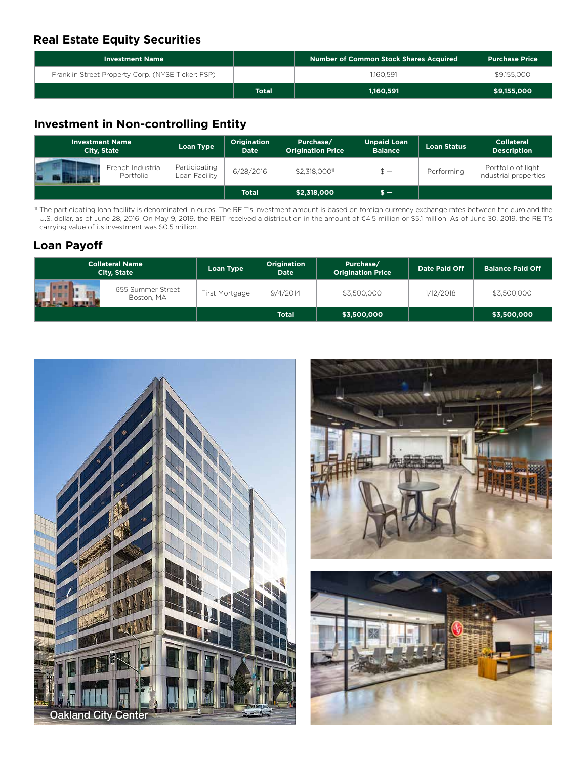#### **Real Estate Equity Securities**

| <b>Investment Name</b>                            |              | Number of Common Stock Shares Acquired | <b>Purchase Price</b> |
|---------------------------------------------------|--------------|----------------------------------------|-----------------------|
| Franklin Street Property Corp. (NYSE Ticker: FSP) |              | 1.160.591                              | \$9,155,000           |
|                                                   | <b>Total</b> | 1,160,591                              | \$9,155,000           |

### **Investment in Non-controlling Entity**

| <b>Investment Name</b><br><b>City, State</b> |                                | Loan Type                      | <b>Origination</b><br><b>Date</b> | Purchase/<br><b>Origination Price</b> | <b>Unpaid Loan</b><br><b>Balance</b> | <b>Loan Status</b> | <b>Collateral</b><br><b>Description</b>     |
|----------------------------------------------|--------------------------------|--------------------------------|-----------------------------------|---------------------------------------|--------------------------------------|--------------------|---------------------------------------------|
|                                              | French Industrial<br>Portfolio | Participating<br>Loan Facility | 6/28/2016                         | \$2,318,000 <sup>11</sup>             | $s -$                                | Performing         | Portfolio of light<br>industrial properties |
|                                              |                                |                                | <b>Total</b>                      | \$2,318,000                           | $s -$                                |                    |                                             |

<sup>11</sup> The participating loan facility is denominated in euros. The REIT's investment amount is based on foreign currency exchange rates between the euro and the U.S. dollar, as of June 28, 2016. On May 9, 2019, the REIT received a distribution in the amount of €4.5 million or \$5.1 million. As of June 30, 2019, the REIT's carrying value of its investment was \$0.5 million.

#### **Loan Payoff**

| <b>Collateral Name</b><br><b>City, State</b> | Loan Type      | <b>Origination</b><br><b>Date</b> | Purchase/<br><b>Origination Price</b> | Date Paid Off | <b>Balance Paid Off</b> |
|----------------------------------------------|----------------|-----------------------------------|---------------------------------------|---------------|-------------------------|
| 655 Summer Street<br>Boston, MA              | First Mortgage | 9/4/2014                          | \$3,500,000                           | 1/12/2018     | \$3,500,000             |
|                                              |                | <b>Total</b>                      | \$3,500,000                           |               | \$3,500,000             |





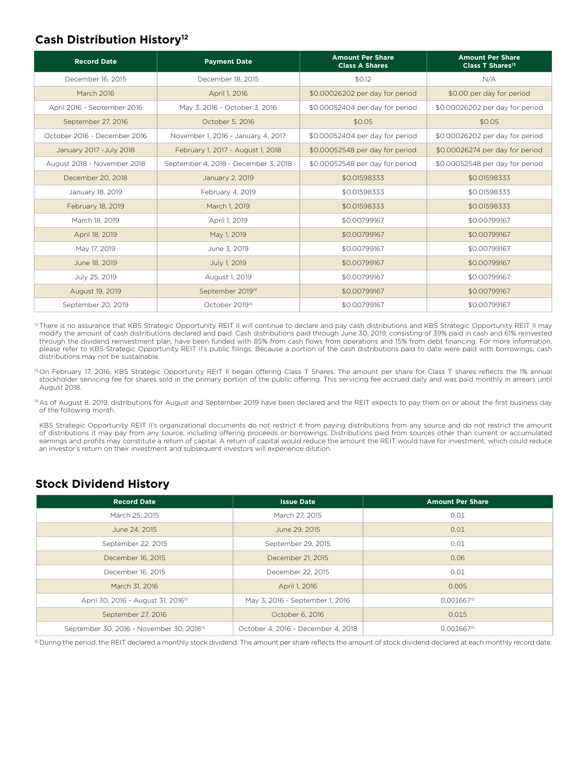#### **Cash Distribution History12**

| <b>Record Date</b>           | <b>Payment Date</b>                  | <b>Amount Per Share</b><br><b>Class A Shares</b> | <b>Amount Per Share</b><br>Class T Shares <sup>13</sup> |
|------------------------------|--------------------------------------|--------------------------------------------------|---------------------------------------------------------|
| December 16, 2015            | December 18, 2015                    | \$0.12                                           | N/A                                                     |
| <b>March 2016</b>            | April 1, 2016                        | \$0.00026202 per day for period                  | \$0.00 per day for period                               |
| April 2016 - September 2016  | May 3, 2016 - October 3, 2016        | \$0.00052404 per day for period                  | \$0.00026202 per day for period                         |
| September 27, 2016           | October 5, 2016                      | \$0.05                                           | \$0.05                                                  |
| October 2016 - December 2016 | November 1, 2016 - January 4, 2017   | \$0.00052404 per day for period                  | \$0.00026202 per day for period                         |
| January 2017 - July 2018     | February 1, 2017 - August 1, 2018    | \$0.00052548 per day for period                  | \$0.00026274 per day for period                         |
| August 2018 - November 2018  | September 4, 2018 - December 3, 2018 | \$0.00052548 per day for period                  | \$0.00052548 per day for period                         |
| December 20, 2018            | January 2, 2019                      | \$0.01598333                                     | \$0.01598333                                            |
| January 18, 2019             | February 4, 2019                     | \$0.01598333                                     | \$0.01598333                                            |
| February 18, 2019            | March 1, 2019                        | \$0.01598333                                     | \$0.01598333                                            |
| March 18, 2019               | April 1, 2019                        | \$0.00799167                                     | \$0.00799167                                            |
| April 18, 2019               | May 1, 2019                          | \$0.00799167                                     | \$0.00799167                                            |
| May 17, 2019                 | June 3, 2019                         | \$0.00799167                                     | \$0.00799167                                            |
| June 18, 2019                | July 1, 2019                         | \$0.00799167                                     | \$0.00799167                                            |
| July 25, 2019                | August 1, 2019                       | \$0.00799167                                     | \$0.00799167                                            |
| August 19, 2019              | September 2019 <sup>14</sup>         | \$0.00799167                                     | \$0.00799167                                            |
| September 20, 2019           | October 2019 <sup>14</sup>           | \$0.00799167                                     | \$0.00799167                                            |

<sup>12</sup> There is no assurance that KBS Strategic Opportunity REIT II will continue to declare and pay cash distributions and KBS Strategic Opportunity REIT II may modify the amount of cash distributions declared and paid. Cash distributions paid through June 30, 2019, consisting of 39% paid in cash and 61% reinvested through the dividend reinvestment plan, have been funded with 85% from cash flows from operations and 15% from debt financing. For more information, please refer to KBS Strategic Opportunity REIT II's public filings. Because a portion of the cash distributions paid to date were paid with borrowings, cash distributions may not be sustainable.

<sup>13</sup> On February 17, 2016, KBS Strategic Opportunity REIT II began offering Class T Shares. The amount per share for Class T shares reflects the 1% annual stockholder servicing fee for shares sold in the primary portion of the public offering. This servicing fee accrued daily and was paid monthly in arrears until August 2018.

<sup>14</sup> As of August 8, 2019, distributions for August and September 2019 have been declared and the REIT expects to pay them on or about the first business day of the following month.

KBS Strategic Opportunity REIT II's organizational documents do not restrict it from paying distributions from any source and do not restrict the amount of distributions it may pay from any source, including offering proceeds or borrowings. Distributions paid from sources other than current or accumulated earnings and profits may constitute a return of capital. A return of capital would reduce the amount the REIT would have for investment, which could reduce an investor's return on their investment and subsequent investors will experience dilution.

## **Stock Dividend History**

| <b>Record Date</b>                                   | <b>Issue Date</b>                  | <b>Amount Per Share</b> |
|------------------------------------------------------|------------------------------------|-------------------------|
| March 25, 2015                                       | March 27, 2015                     | 0.01                    |
| June 24, 2015                                        | June 29, 2015                      | 0.01                    |
| September 22, 2015                                   | September 29, 2015                 | 0.01                    |
| December 16, 2015                                    | December 21, 2015                  | 0.06                    |
| December 16, 2015                                    | December 22, 2015                  | 0.01                    |
| March 31, 2016                                       | April 1, 2016                      | 0.005                   |
| April 30, 2016 - August 31, 2016 <sup>15</sup>       | May 3, 2016 - September 1, 2016    | $0.001667^{15}$         |
| September 27, 2016                                   | October 6, 2016                    | 0.015                   |
| September 30, 2016 - November 30, 2018 <sup>15</sup> | October 4, 2016 - December 4, 2018 | $0.001667^{15}$         |

<sup>15</sup> During the period, the REIT declared a monthly stock dividend. The amount per share reflects the amount of stock dividend declared at each monthly record date.